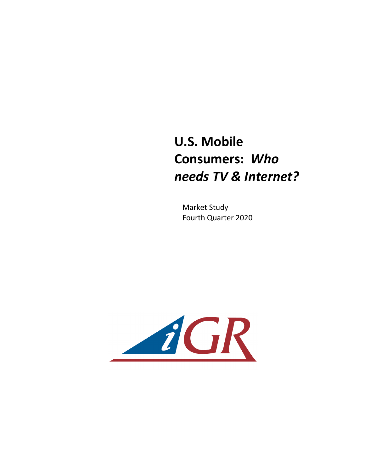## **U.S. Mobile Consumers: Who** *needs TV & Internet?*

**Market Study** Fourth Quarter 2020

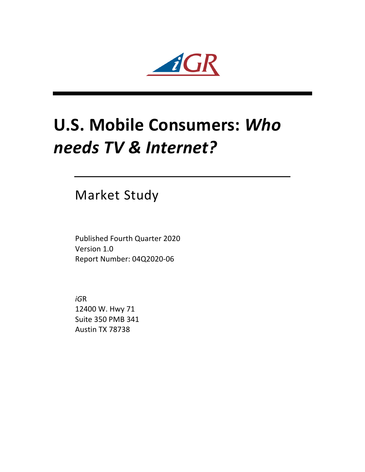$AGR$ 

# **U.S. Mobile Consumers: Who** *needs TV & Internet?*

### **Market Study**

Published Fourth Quarter 2020 Version 1.0 Report Number: 04Q2020-06

*iG*R 12400 W. Hwy 71 Suite 350 PMB 341 Austin TX 78738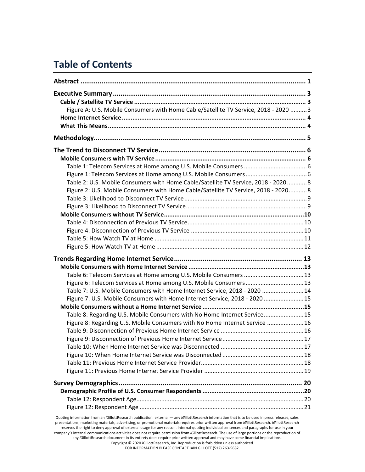#### **Table of Contents**

| Figure A: U.S. Mobile Consumers with Home Cable/Satellite TV Service, 2018 - 2020  3 |  |
|--------------------------------------------------------------------------------------|--|
|                                                                                      |  |
|                                                                                      |  |
|                                                                                      |  |
|                                                                                      |  |
|                                                                                      |  |
|                                                                                      |  |
|                                                                                      |  |
| Table 2: U.S. Mobile Consumers with Home Cable/Satellite TV Service, 2018 - 20208    |  |
| Figure 2: U.S. Mobile Consumers with Home Cable/Satellite TV Service, 2018 - 2020 8  |  |
|                                                                                      |  |
|                                                                                      |  |
|                                                                                      |  |
|                                                                                      |  |
|                                                                                      |  |
|                                                                                      |  |
|                                                                                      |  |
|                                                                                      |  |
|                                                                                      |  |
| Table 6: Telecom Services at Home among U.S. Mobile Consumers  13                    |  |
| Figure 6: Telecom Services at Home among U.S. Mobile Consumers 13                    |  |
| Table 7: U.S. Mobile Consumers with Home Internet Service, 2018 - 2020  14           |  |
| Figure 7: U.S. Mobile Consumers with Home Internet Service, 2018 - 2020 15           |  |
|                                                                                      |  |
| Table 8: Regarding U.S. Mobile Consumers with No Home Internet Service15             |  |
| Figure 8: Regarding U.S. Mobile Consumers with No Home Internet Service 16           |  |
|                                                                                      |  |
|                                                                                      |  |
|                                                                                      |  |
|                                                                                      |  |
|                                                                                      |  |
|                                                                                      |  |
|                                                                                      |  |
|                                                                                      |  |
|                                                                                      |  |
|                                                                                      |  |
|                                                                                      |  |

presentations, marketing materials, advertising, or promotional materials requires prior written approval from *iGillottResearch. iGillottResearch* reserves the right to deny approval of external usage for any reason. Internal-quoting individual sentences and paragraphs for use in your company's internal communications activities does not require permission from *iGillottResearch*. The use of large portions or the reproduction of any iGillottResearch document in its entirety does require prior written approval and may have some financial implications. Copyright © 2020 *iGillottResearch, Inc. Reproduction* is forbidden unless authorized. FOR INFORMATION PLEASE CONTACT IAIN GILLOTT (512) 263-5682.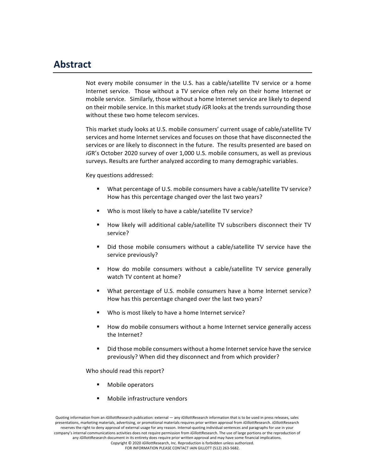#### **Abstract**

Not every mobile consumer in the U.S. has a cable/satellite TV service or a home Internet service. Those without a TV service often rely on their home Internet or mobile service. Similarly, those without a home Internet service are likely to depend on their mobile service. In this market study *iGR* looks at the trends surrounding those without these two home telecom services.

This market study looks at U.S. mobile consumers' current usage of cable/satellite TV services and home Internet services and focuses on those that have disconnected the services or are likely to disconnect in the future. The results presented are based on *iGR's* October 2020 survey of over 1,000 U.S. mobile consumers, as well as previous surveys. Results are further analyzed according to many demographic variables.

Key questions addressed:

- What percentage of U.S. mobile consumers have a cable/satellite TV service? How has this percentage changed over the last two years?
- Who is most likely to have a cable/satellite TV service?
- How likely will additional cable/satellite TV subscribers disconnect their TV service?
- Did those mobile consumers without a cable/satellite TV service have the service previously?
- How do mobile consumers without a cable/satellite TV service generally watch TV content at home?
- What percentage of U.S. mobile consumers have a home Internet service? How has this percentage changed over the last two years?
- Who is most likely to have a home Internet service?
- How do mobile consumers without a home Internet service generally access the Internet?
- Did those mobile consumers without a home Internet service have the service previously? When did they disconnect and from which provider?

Who should read this report?

- Mobile operators
- Mobile infrastructure vendors

Quoting information from an *iGillottResearch publication:* external — any *iGillottResearch* information that is to be used in press releases, sales presentations, marketing materials, advertising, or promotional materials requires prior written approval from *iG*illottResearch. *iGillottResearch* reserves the right to deny approval of external usage for any reason. Internal-quoting individual sentences and paragraphs for use in your company's internal communications activities does not require permission from *iGillottResearch*. The use of large portions or the reproduction of any *iGillottResearch document in its entirety does require prior written approval and may have some financial implications.* Copyright © 2020 *iG*illottResearch, Inc. Reproduction is forbidden unless authorized. FOR INFORMATION PLEASE CONTACT IAIN GILLOTT (512) 263-5682.